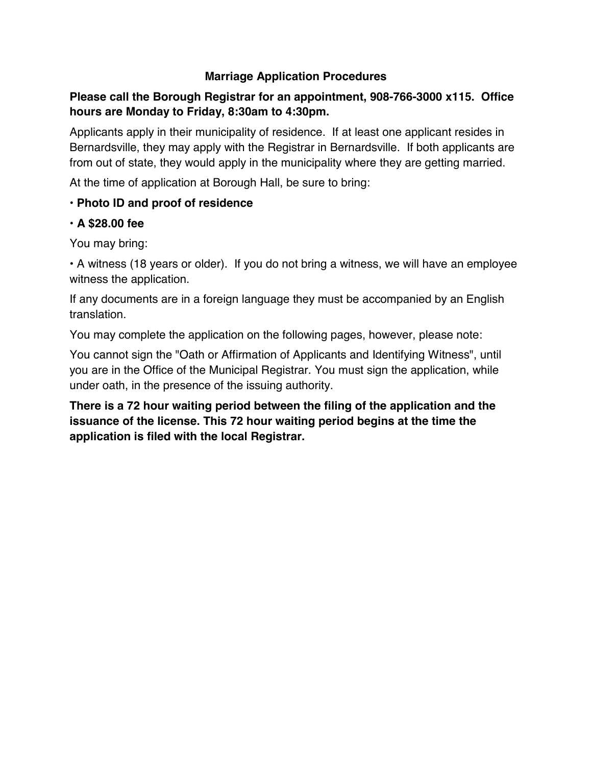## **Marriage Application Procedures**

## **Please call the Borough Registrar for an appointment, 908-766-3000 x115. Office hours are Monday to Friday, 8:30am to 4:30pm.**

Applicants apply in their municipality of residence. If at least one applicant resides in Bernardsville, they may apply with the Registrar in Bernardsville. If both applicants are from out of state, they would apply in the municipality where they are getting married.

At the time of application at Borough Hall, be sure to bring:

## **• Photo ID and proof of residence**

## **• A \$28.00 fee**

You may bring:

• A witness (18 years or older). If you do not bring a witness, we will have an employee witness the application.

If any documents are in a foreign language they must be accompanied by an English translation.

You may complete the application on the following pages, however, please note:

You cannot sign the "Oath or Affirmation of Applicants and Identifying Witness", until you are in the Office of the Municipal Registrar. You must sign the application, while under oath, in the presence of the issuing authority.

**There is a 72 hour waiting period between the filing of the application and the issuance of the license. This 72 hour waiting period begins at the time the application is filed with the local Registrar.**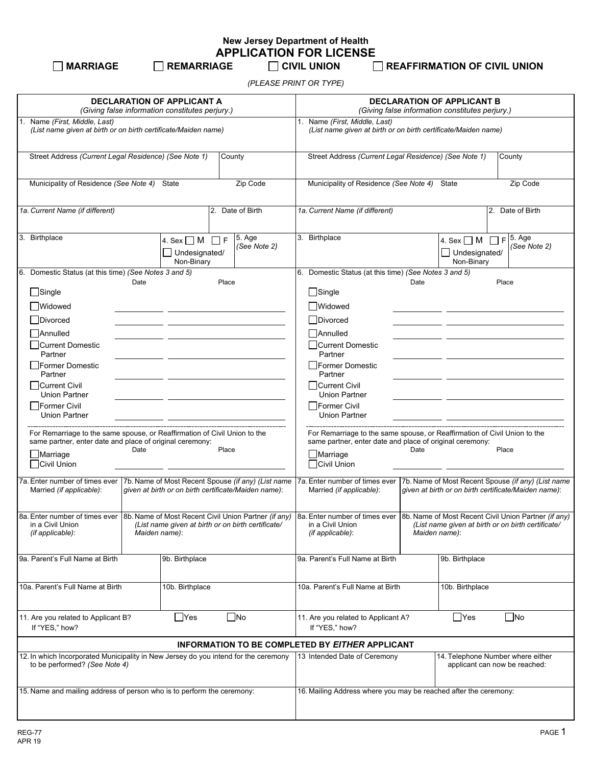# **New Jersey Department of Health APPLICATION FOR LICENSE**<br>۲ CIVIL UNION TO REMARRIAGE

**MARRIAGE REMARRIAGE CIVIL UNION REAFFIRMATION OF CIVIL UNION**

*(PLEASE PRINT OR TYPE)*

| <b>DECLARATION OF APPLICANT A</b><br>(Giving false information constitutes perjury.)                                                                                                                                                                                                                                                                                                                                                                                                                                                                                                                                                                              |                                                         |  |                                                                                                                                                                                                                                                                                                                                                                                                                                                                                                                                                                                                                                                     | <b>DECLARATION OF APPLICANT B</b><br>(Giving false information constitutes perjury.)            |                                                                                                                                                                                                    |  |                                                |  |                                       |
|-------------------------------------------------------------------------------------------------------------------------------------------------------------------------------------------------------------------------------------------------------------------------------------------------------------------------------------------------------------------------------------------------------------------------------------------------------------------------------------------------------------------------------------------------------------------------------------------------------------------------------------------------------------------|---------------------------------------------------------|--|-----------------------------------------------------------------------------------------------------------------------------------------------------------------------------------------------------------------------------------------------------------------------------------------------------------------------------------------------------------------------------------------------------------------------------------------------------------------------------------------------------------------------------------------------------------------------------------------------------------------------------------------------------|-------------------------------------------------------------------------------------------------|----------------------------------------------------------------------------------------------------------------------------------------------------------------------------------------------------|--|------------------------------------------------|--|---------------------------------------|
| 1. Name (First, Middle, Last)<br>(List name given at birth or on birth certificate/Maiden name)                                                                                                                                                                                                                                                                                                                                                                                                                                                                                                                                                                   |                                                         |  |                                                                                                                                                                                                                                                                                                                                                                                                                                                                                                                                                                                                                                                     | 1. Name (First, Middle, Last)<br>(List name given at birth or on birth certificate/Maiden name) |                                                                                                                                                                                                    |  |                                                |  |                                       |
| Street Address (Current Legal Residence) (See Note 1)<br>County                                                                                                                                                                                                                                                                                                                                                                                                                                                                                                                                                                                                   |                                                         |  |                                                                                                                                                                                                                                                                                                                                                                                                                                                                                                                                                                                                                                                     | Street Address (Current Legal Residence) (See Note 1)<br>County                                 |                                                                                                                                                                                                    |  |                                                |  |                                       |
| Municipality of Residence (See Note 4) State<br>Zip Code                                                                                                                                                                                                                                                                                                                                                                                                                                                                                                                                                                                                          |                                                         |  |                                                                                                                                                                                                                                                                                                                                                                                                                                                                                                                                                                                                                                                     | Municipality of Residence (See Note 4) State<br>Zip Code                                        |                                                                                                                                                                                                    |  |                                                |  |                                       |
| 1a. Current Name (if different)<br>2. Date of Birth                                                                                                                                                                                                                                                                                                                                                                                                                                                                                                                                                                                                               |                                                         |  | 1a. Current Name (if different)<br>2. Date of Birth                                                                                                                                                                                                                                                                                                                                                                                                                                                                                                                                                                                                 |                                                                                                 |                                                                                                                                                                                                    |  |                                                |  |                                       |
| 3. Birthplace                                                                                                                                                                                                                                                                                                                                                                                                                                                                                                                                                                                                                                                     | 4. Sex $\Box$ M $\Box$ F<br>Undesignated/<br>Non-Binary |  | 5. Age<br>(See Note 2)                                                                                                                                                                                                                                                                                                                                                                                                                                                                                                                                                                                                                              |                                                                                                 | 3. Birthplace                                                                                                                                                                                      |  | 4. Sex $\Box$ M<br>Undesignated/<br>Non-Binary |  | $F$ <sup>5.</sup> Age<br>(See Note 2) |
| 6. Domestic Status (at this time) (See Notes 3 and 5)<br>Date<br>Place<br>$\Box$ Single<br><b>■Widowed</b><br>Divorced<br><b>NAnnulled</b><br>□Current Domestic<br>Partner<br><b>Former Domestic</b><br>Partner<br>Current Civil<br><b>Union Partner</b><br>Former Civil<br><b>Union Partner</b><br>For Remarriage to the same spouse, or Reaffirmation of Civil Union to the<br>same partner, enter date and place of original ceremony:<br>Date<br>Place<br>Marriage<br>Civil Union<br>7a. Enter number of times ever<br>7b. Name of Most Recent Spouse (if any) (List name<br>given at birth or on birth certificate/Maiden name):<br>Married (if applicable): |                                                         |  | 6. Domestic Status (at this time) (See Notes 3 and 5)<br>Date<br>Place<br>$\Box$ Single<br><b>Nidowed</b><br>Divorced<br><b>NAnnulled</b><br>Current Domestic<br>Partner<br>$\Box$ Former Domestic<br>Partner<br>  Current Civil<br>Union Partner<br>Former Civil<br>Union Partner<br>For Remarriage to the same spouse, or Reaffirmation of Civil Union to the<br>same partner, enter date and place of original ceremony:<br>Date<br>Place<br>Marriage<br>Civil Union<br>7a. Enter number of times ever<br>7b. Name of Most Recent Spouse (if any) (List name<br>given at birth or on birth certificate/Maiden name):<br>Married (if applicable): |                                                                                                 |                                                                                                                                                                                                    |  |                                                |  |                                       |
| 8a. Enter number of times ever 8b. Name of Most Recent Civil Union Partner (if any)<br>in a Civil Union<br>(List name given at birth or on birth certificate/<br>(if applicable):<br>Maiden name):                                                                                                                                                                                                                                                                                                                                                                                                                                                                |                                                         |  |                                                                                                                                                                                                                                                                                                                                                                                                                                                                                                                                                                                                                                                     |                                                                                                 | 8a. Enter number of times ever 8b. Name of Most Recent Civil Union Partner (if any)<br>in a Civil Union<br>(List name given at birth or on birth certificate/<br>(if applicable):<br>Maiden name): |  |                                                |  |                                       |
| 9a. Parent's Full Name at Birth<br>9b. Birthplace                                                                                                                                                                                                                                                                                                                                                                                                                                                                                                                                                                                                                 |                                                         |  |                                                                                                                                                                                                                                                                                                                                                                                                                                                                                                                                                                                                                                                     | 9a. Parent's Full Name at Birth                                                                 | 9b. Birthplace                                                                                                                                                                                     |  |                                                |  |                                       |
| 10a. Parent's Full Name at Birth<br>10b. Birthplace                                                                                                                                                                                                                                                                                                                                                                                                                                                                                                                                                                                                               |                                                         |  |                                                                                                                                                                                                                                                                                                                                                                                                                                                                                                                                                                                                                                                     | 10a. Parent's Full Name at Birth<br>10b. Birthplace                                             |                                                                                                                                                                                                    |  |                                                |  |                                       |
| $\Box$ Yes<br>$\Box$ No<br>11. Are you related to Applicant B?<br>If "YES," how?                                                                                                                                                                                                                                                                                                                                                                                                                                                                                                                                                                                  |                                                         |  |                                                                                                                                                                                                                                                                                                                                                                                                                                                                                                                                                                                                                                                     | $\Box$ Yes<br>$\Box$ No<br>11. Are you related to Applicant A?<br>If "YES," how?                |                                                                                                                                                                                                    |  |                                                |  |                                       |
|                                                                                                                                                                                                                                                                                                                                                                                                                                                                                                                                                                                                                                                                   |                                                         |  |                                                                                                                                                                                                                                                                                                                                                                                                                                                                                                                                                                                                                                                     |                                                                                                 | <b>INFORMATION TO BE COMPLETED BY EITHER APPLICANT</b>                                                                                                                                             |  |                                                |  |                                       |
| 12. In which Incorporated Municipality in New Jersey do you intend for the ceremony<br>to be performed? (See Note 4)                                                                                                                                                                                                                                                                                                                                                                                                                                                                                                                                              |                                                         |  |                                                                                                                                                                                                                                                                                                                                                                                                                                                                                                                                                                                                                                                     |                                                                                                 | 13 Intended Date of Ceremony                                                                                                                                                                       |  | 14. Telephone Number where either              |  | applicant can now be reached:         |
| 15. Name and mailing address of person who is to perform the ceremony:                                                                                                                                                                                                                                                                                                                                                                                                                                                                                                                                                                                            |                                                         |  |                                                                                                                                                                                                                                                                                                                                                                                                                                                                                                                                                                                                                                                     |                                                                                                 | 16. Mailing Address where you may be reached after the ceremony:                                                                                                                                   |  |                                                |  |                                       |